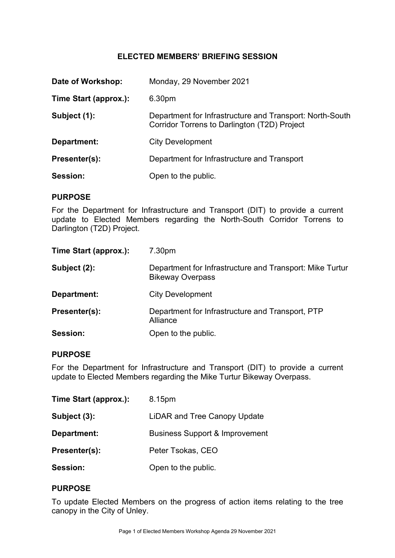# ELECTED MEMBERS' BRIEFING SESSION

| Date of Workshop:     | Monday, 29 November 2021                                                                                 |
|-----------------------|----------------------------------------------------------------------------------------------------------|
| Time Start (approx.): | 6.30pm                                                                                                   |
| Subject (1):          | Department for Infrastructure and Transport: North-South<br>Corridor Torrens to Darlington (T2D) Project |
| Department:           | <b>City Development</b>                                                                                  |
| Presenter(s):         | Department for Infrastructure and Transport                                                              |
| Session:              | Open to the public.                                                                                      |

## PURPOSE

For the Department for Infrastructure and Transport (DIT) to provide a current update to Elected Members regarding the North-South Corridor Torrens to Darlington (T2D) Project.

| Time Start (approx.): | 7.30pm                                                                              |
|-----------------------|-------------------------------------------------------------------------------------|
| Subject (2):          | Department for Infrastructure and Transport: Mike Turtur<br><b>Bikeway Overpass</b> |
| Department:           | <b>City Development</b>                                                             |
| Presenter(s):         | Department for Infrastructure and Transport, PTP<br>Alliance                        |
| Session:              | Open to the public.                                                                 |

# PURPOSE

For the Department for Infrastructure and Transport (DIT) to provide a current update to Elected Members regarding the Mike Turtur Bikeway Overpass.

| Time Start (approx.): | 8.15pm                                    |
|-----------------------|-------------------------------------------|
| Subject (3):          | LiDAR and Tree Canopy Update              |
| Department:           | <b>Business Support &amp; Improvement</b> |
| Presenter(s):         | Peter Tsokas, CEO                         |
| Session:              | Open to the public.                       |

# PURPOSE

To update Elected Members on the progress of action items relating to the tree canopy in the City of Unley.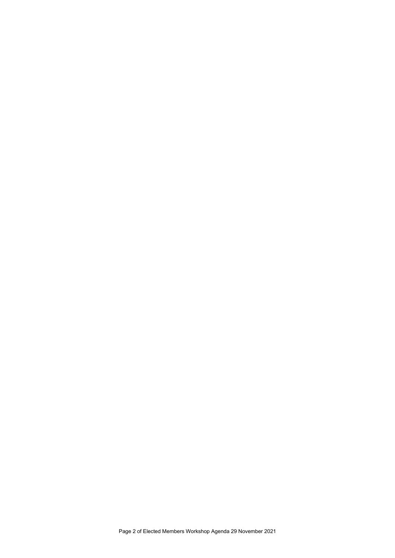Page 2 of Elected Members Workshop Agenda 29 November 2021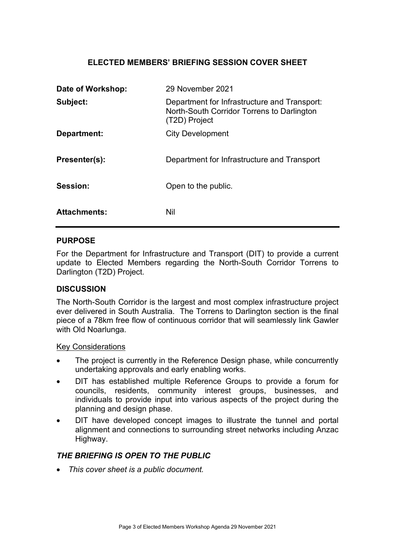# ELECTED MEMBERS' BRIEFING SESSION COVER SHEET

| Date of Workshop:   | 29 November 2021                                                                                            |
|---------------------|-------------------------------------------------------------------------------------------------------------|
| Subject:            | Department for Infrastructure and Transport:<br>North-South Corridor Torrens to Darlington<br>(T2D) Project |
| Department:         | <b>City Development</b>                                                                                     |
|                     |                                                                                                             |
| Presenter(s):       | Department for Infrastructure and Transport                                                                 |
|                     |                                                                                                             |
| Session:            | Open to the public.                                                                                         |
|                     |                                                                                                             |
| <b>Attachments:</b> | Nil                                                                                                         |

## PURPOSE

For the Department for Infrastructure and Transport (DIT) to provide a current update to Elected Members regarding the North-South Corridor Torrens to Darlington (T2D) Project.

### **DISCUSSION**

The North-South Corridor is the largest and most complex infrastructure project ever delivered in South Australia. The Torrens to Darlington section is the final piece of a 78km free flow of continuous corridor that will seamlessly link Gawler with Old Noarlunga.

### Key Considerations

- The project is currently in the Reference Design phase, while concurrently undertaking approvals and early enabling works.
- DIT has established multiple Reference Groups to provide a forum for councils, residents, community interest groups, businesses, and individuals to provide input into various aspects of the project during the planning and design phase.
- DIT have developed concept images to illustrate the tunnel and portal alignment and connections to surrounding street networks including Anzac Highway.

# THE BRIEFING IS OPEN TO THE PUBLIC

This cover sheet is a public document.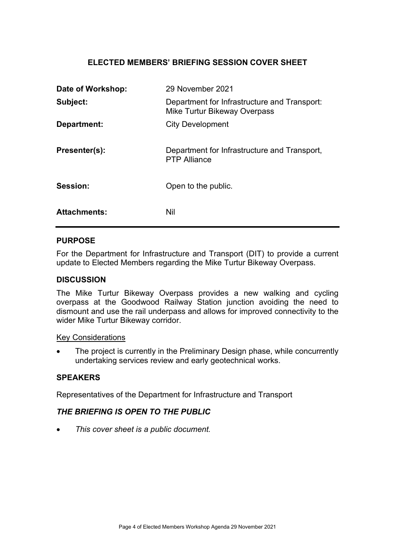# ELECTED MEMBERS' BRIEFING SESSION COVER SHEET

| Date of Workshop:   | 29 November 2021                                                             |
|---------------------|------------------------------------------------------------------------------|
| Subject:            | Department for Infrastructure and Transport:<br>Mike Turtur Bikeway Overpass |
| Department:         | <b>City Development</b>                                                      |
| Presenter(s):       | Department for Infrastructure and Transport,<br><b>PTP Alliance</b>          |
| Session:            | Open to the public.                                                          |
| <b>Attachments:</b> | Nil                                                                          |

## PURPOSE

For the Department for Infrastructure and Transport (DIT) to provide a current update to Elected Members regarding the Mike Turtur Bikeway Overpass.

### **DISCUSSION**

The Mike Turtur Bikeway Overpass provides a new walking and cycling overpass at the Goodwood Railway Station junction avoiding the need to dismount and use the rail underpass and allows for improved connectivity to the wider Mike Turtur Bikeway corridor.

### Key Considerations

 The project is currently in the Preliminary Design phase, while concurrently undertaking services review and early geotechnical works.

### **SPEAKERS**

Representatives of the Department for Infrastructure and Transport

# THE BRIEFING IS OPEN TO THE PUBLIC

This cover sheet is a public document.